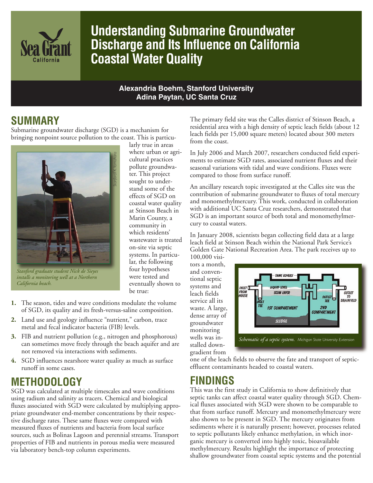

# **Understanding Submarine Groundwater Discharge and Its Influence on California Coastal Water Quality**

#### **Alexandria Boehm, Stanford University Adina Paytan, UC Santa Cruz**

#### **SUMMARY**

Submarine groundwater discharge (SGD) is a mechanism for bringing nonpoint source pollution to the coast. This is particu-



*Stanford graduate student Nick de Sieyes installs a monitoring well at a Northern California beach.*

larly true in areas where urban or agricultural practices pollute groundwater. This project sought to understand some of the effects of SGD on coastal water quality at Stinson Beach in Marin County, a community in which residents' wastewater is treated on-site via septic systems. In particular, the following four hypotheses were tested and eventually shown to be true:

- **1.** The season, tides and wave conditions modulate the volume of SGD, its quality and its fresh-versus-saline composition.
- **2.** Land use and geology influence "nutrient," carbon, trace metal and fecal indicator bacteria (FIB) levels.
- **3.** FIB and nutrient pollution (e.g., nitrogen and phosphorous) can sometimes move freely through the beach aquifer and are not removed via interactions with sediments.
- **4.** SGD influences nearshore water quality as much as surface runoff in some cases.

#### **METHODOLOGY**

SGD was calculated at multiple timescales and wave conditions using radium and salinity as tracers. Chemical and biological fluxes associated with SGD were calculated by multiplying appropriate groundwater end-member concentrations by their respective discharge rates. These same fluxes were compared with measured fluxes of nutrients and bacteria from local surface sources, such as Bolinas Lagoon and perennial streams. Transport properties of FIB and nutrients in porous media were measured via laboratory bench-top column experiments.

The primary field site was the Calles district of Stinson Beach, a residential area with a high density of septic leach fields (about 12 leach fields per 15,000 square meters) located about 300 meters from the coast.

In July 2006 and March 2007, researchers conducted field experiments to estimate SGD rates, associated nutrient fluxes and their seasonal variations with tidal and wave conditions. Fluxes were compared to those from surface runoff.

An ancillary research topic investigated at the Calles site was the contribution of submarine groundwater to fluxes of total mercury and monomethylmercury. This work, conducted in collaboration with additional UC Santa Cruz researchers, demonstrated that SGD is an important source of both total and monomethylmercury to coastal waters.

In January 2008, scientists began collecting field data at a large leach field at Stinson Beach within the National Park Service's Golden Gate National Recreation Area. The park receives up to 100,000 visi-

tors a month, and conventional septic systems and leach fields service all its waste. A large, dense array of groundwater monitoring wells was installed downgradient from



one of the leach fields to observe the fate and transport of septiceffluent contaminants headed to coastal waters.

#### **FINDINGS**

This was the first study in California to show definitively that septic tanks can affect coastal water quality through SGD. Chemical fluxes associated with SGD were shown to be comparable to that from surface runoff. Mercury and monomethylmercury were also shown to be present in SGD. The mercury originates from sediments where it is naturally present; however, processes related to septic pollutants likely enhance methylation, in which inorganic mercury is converted into highly toxic, bioavailable methylmercury. Results highlight the importance of protecting shallow groundwater from coastal septic systems and the potential